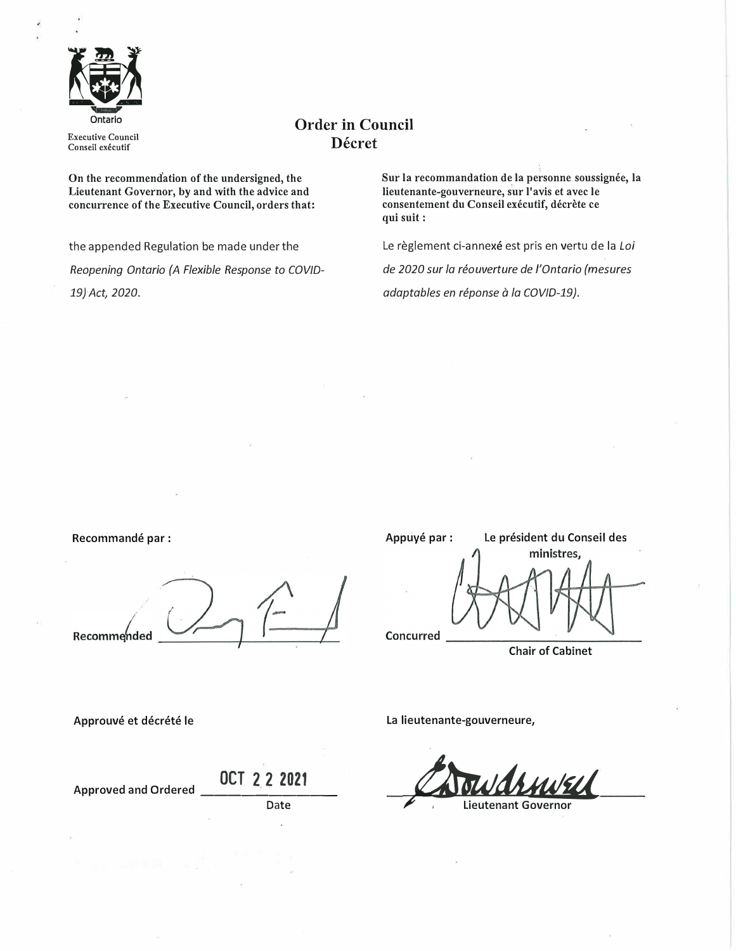

**Executive Council Conseil executif** 

# **Order in Council Decret**

On the recommendation of the undersigned, the **Lieutenant Governor, by and with the advice and concurrence of the Executive Council, orders that:** 

the appended Regulation be made under the *Reopening Ontario (A Flexible Response to COVJD-19}Act, 2020.*

Sur la recommandation de la personne soussignée, la **lieutenante-gouverneure, sur l'avis et avec le consentement du Conseil executif, decrete ce qui suit:** 

Le règlement ci-annexé est pris en vertu de la Loi

*de 2020 sur la reouverture de /'Ontario (mesures adaptables en reponse* a *la COV/0-19).* 

Recommandé par :

Recommended

Appuyé par : Le président du Conseil des ministres, Concurred

Chair of Cabinet

Approuvé et décrété le

**OCT 2 2 2021** Approved and Ordered \_\_\_\_\_\_\_\_\_ \_

Date

La lieutenante-gouverneure,

*CA out druwell*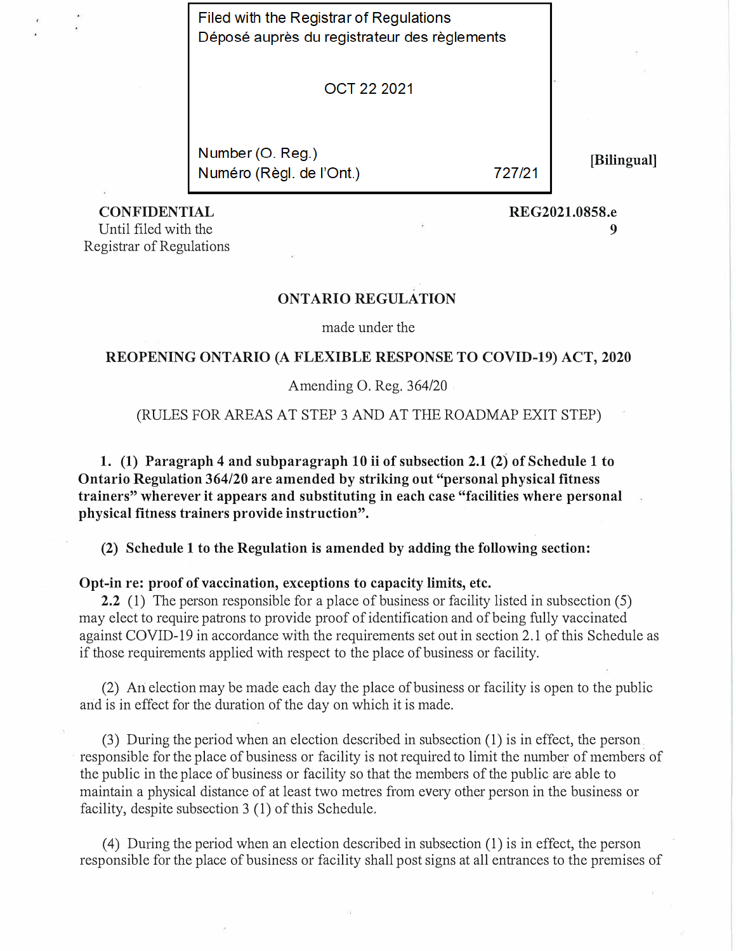Filed with the Registrar of Regulations Déposé auprès du registrateur des règlements

OCT 22 2021

Number (O. Reg.) Numéro (Règl. de l'Ont.)

727/21

**[Bilingual]** 

**CONFIDENTIAL** 

**REG2021.0858.e 9** 

Until filed with the Registrar of Regulations

# **ONTARIO REGULATION**

made under the

## **REOPENING ONTARIO (A FLEXIBLE RESPONSE TO COVID-19) ACT, 2020**

### Amending 0. Reg. 364/20

### (RULES FOR AREAS AT STEP 3 AND AT THE ROADMAP EXIT STEP)

**1. (1) Paragraph 4 and subparagraph 10 ii of subsection 2.1 (2) of Schedule 1 to Ontario Regulation 364/20 are amended by striking out "personal physical fitness trainers" wherever it appears and substituting in each case "facilities where personal physical fitness trainers provide instruction".** 

**(2) Schedule 1 to the Regulation is amended by adding the following section:**

## **Opt-in re: proof of vaccination, exceptions to capacity limits, etc.**

**2.2** (1) The person responsible for a place of business or facility listed in subsection (5) may elect to require patrons to provide proof of identification and of being fully vaccinated against COVID-19 in accordance with the requirements set out in section 2.1 of this Schedule as if those requirements applied with respect to the place of business or facility.

(2) Ari election may be made each day the place of business or facility is open to the public and is in effect for the duration of the day on which it is made.

(3) During the period when an election described in subsection (1) is in effect, the person. responsible for the place of business or facility is not required to limit the number of members of the public in the place of business or facility so that the members of the public are able to maintain a physical distance of at least two metres from every other person in the business or facility, despite subsection 3 (1) of this Schedule.

( 4) During the period when an election described in subsection ( 1) is in effect, the person responsible for the place of business or facility shall post signs at all entrances to the premises of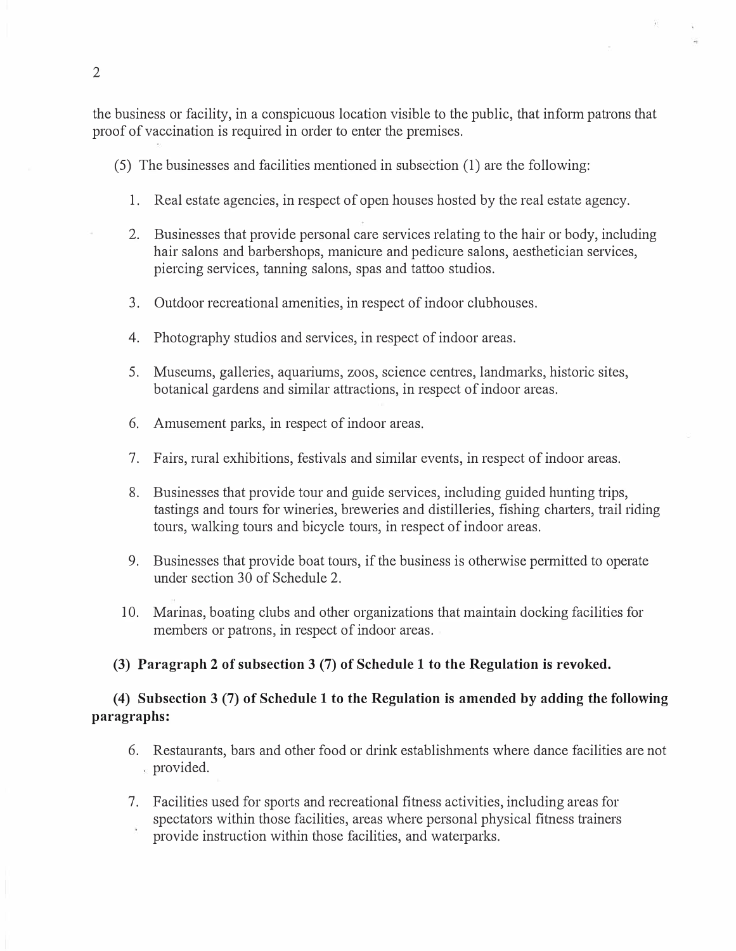the business or facility, in a conspicuous location visible to the public, that inform patrons that proof of vaccination is required in order to enter the premises.

( 5) The businesses and facilities mentioned in subsection (1) are the following:

- 1. Real estate agencies, in respect of open houses hosted by the real estate agency.
- 2. Businesses that provide personal care services relating to the hair or body, including hair salons and barbershops, manicure and pedicure salons, aesthetician services, piercing services, tanning salons, spas and tattoo studios.
- 3. Outdoor recreational amenities, in respect of indoor clubhouses.
- 4. Photography studios and services, in respect of indoor areas.
- 5. Museums, galleries, aquariums, zoos, science centres, landmarks, historic sites, botanical gardens and similar attractions, in respect of indoor areas.
- 6. Amusement parks, in respect of indoor areas.
- 7. Fairs, rural exhibitions, festivals and similar events, in respect of indoor areas.
- 8. Businesses that provide tour and guide services, including guided hunting trips, tastings and tours for wineries, breweries and distilleries, fishing charters, trail riding tours, walking tours and bicycle tours, in respect of indoor areas.
- 9. Businesses that provide boat tours, if the business is otherwise permitted to operate under section 30 of Schedule 2.
- 10. Marinas, boating clubs and other organizations that maintain docking facilities for members or patrons, in respect of indoor areas.

## **(3) Paragraph 2 of subsection 3 (7) of Schedule 1 to the Regulation is revoked.**

# **( 4) Subsection 3** (7) **of Schedule 1 to the Regulation is amended by adding the following paragraphs:**

- 6. Restaurants, bars and other food or drink establishments where dance facilities are not provided.
- 7. Facilities used for sports and recreational fitness activities, including areas for spectators within those facilities, areas where personal physical fitness trainers provide instruction within those facilities, and waterparks.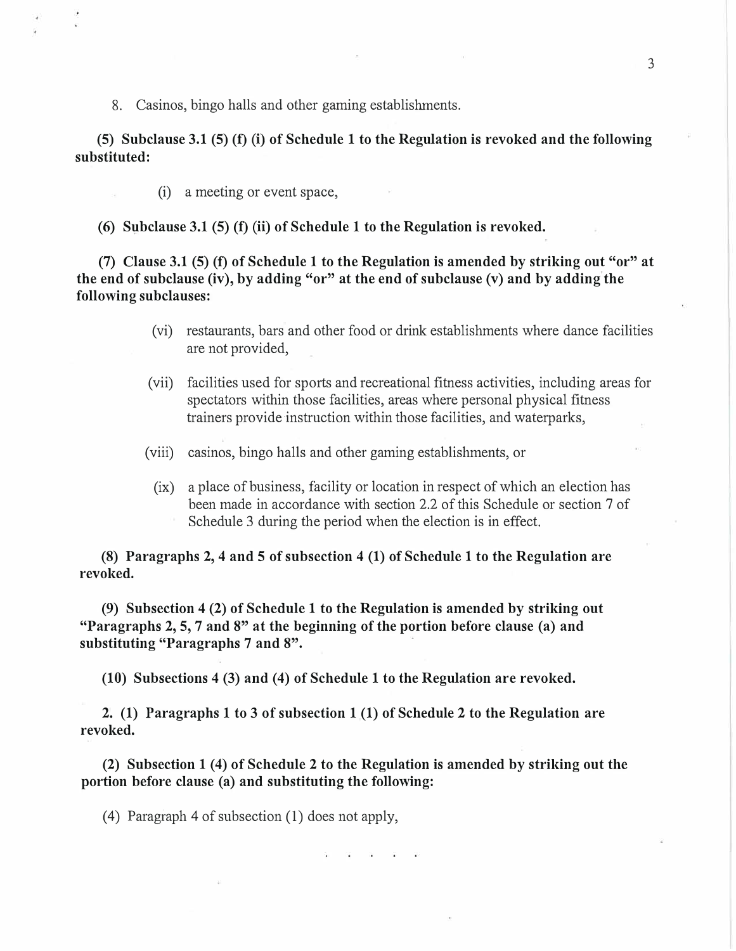8. Casinos, bingo halls and other gaming establishments.

**(5) Subclause 3.1 (5) (f)** (i) **of Schedule 1 to the Regulation is revoked and the following substituted:** 

(i) a meeting or event space,

**(6) Subclause 3.1 (5) (f)** (ii) **of Schedule 1 to the Regulation is revoked.**

**(7) Clause 3.1 (5) (f) of Schedule 1 to the Regulation is amended by striking out "or" at the end of subclause (iv), by adding "or" at the end of subclause (v) and by adding the following subclauses:** 

- (vi) restaurants, bars and other food or drink establishments where dance facilities are not provided,
- (vii) facilities used for sports and recreational fitness activities, including areas for spectators within those facilities, areas where personal physical fitness trainers provide instruction within those facilities, and waterparks,
- (viii) casinos, bingo halls and other gaming establishments, or
	- (ix) a place of business, facility or location in respect of which an election has been made in accordance with section 2.2 of this Schedule or section 7 of Schedule 3 during the period when the election is in effect.

**(8) Paragraphs 2, 4 and 5 of subsection 4 (1) of Schedule 1 to the Regulation are revoked.** 

**(9) Subsection 4 (2) of Schedule 1 to the Regulation is amended by striking out "Paragraphs 2, 5, 7 and 8" at the beginning of the portion before clause (a) and substituting "Paragraphs 7 and 8".** 

**(10) Subsections 4 (3) and (4) of Schedule 1 to the Regulation are revoked.**

**2. (1) Paragraphs 1 to 3 of subsection 1 (1) of Schedule 2 to the Regulation are revoked.** 

**(2) Subsection 1 (4) of Schedule 2 to the Regulation is amended by striking out the portion before clause (a) and substituting the following:** 

(4) Paragraph 4 of subsection  $(1)$  does not apply,

3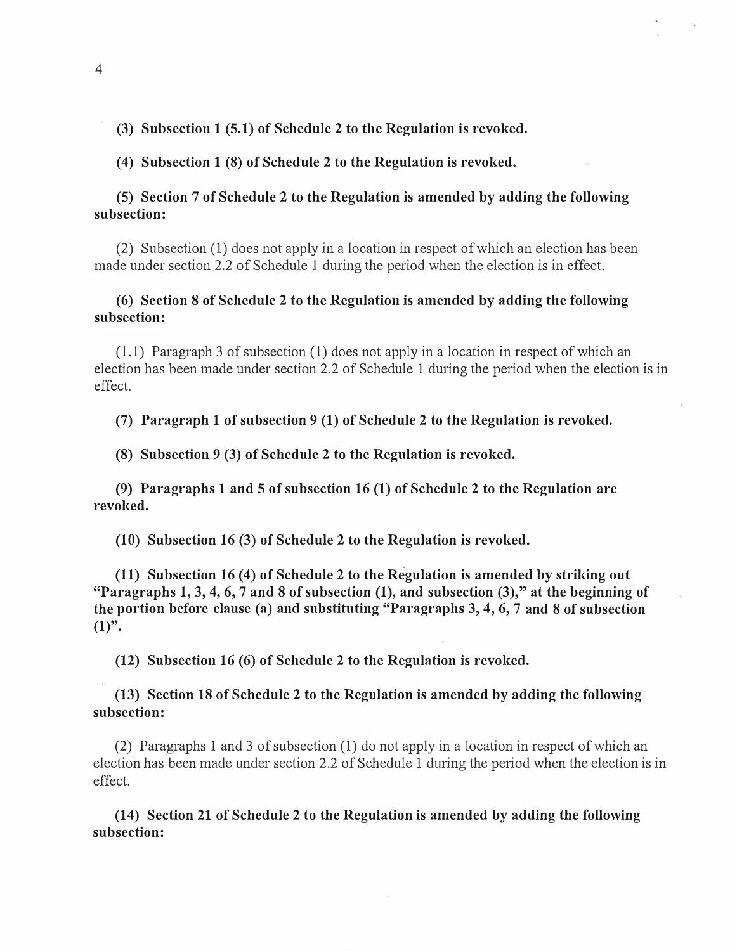**(3) Subsection 1 (5.1) of Schedule 2 to the Regulation is revoked.**

**( 4) Subsection 1 (8) of Schedule 2 to the Regulation is revoked.**

# **(5) Section 7 of Schedule 2 to the Regulation is amended by adding the following subsection:**

(2) Subsection (1) does not apply in a location in respect of which an election has been made under section 2.2 of Schedule 1 during the period when the election is in effect.

# **(6) Section 8 of Schedule 2 to the Regulation is amended by adding the following subsection:**

(1.1) Paragraph 3 of subsection (1) does not apply in a location in respect of which an election has been made under section 2.2 of Schedule 1 during the period when the election is in effect.

**(7) Paragraph 1 of subsection 9 (1) of Schedule 2 to the Regulation is revoked.**

**(8) Subsection 9 (3) of Schedule 2 to the Regulation is revoked.**

**(9) Paragraphs 1 and 5 of subsection 16 (1) of Schedule 2 to the Regulation are revoked.** 

**(10) Subsection 16 (3) of Schedule 2 to the Regulation is revoked.**

**(11) Subsection 16 (4) of Schedule 2 to the Regulation is amended by striking out "Paragraphs 1, 3, 4, 6, 7 and 8 of subsection (1), and subsection (3)," at the beginning of the portion before clause (a) and substituting "Paragraphs 3, 4, 6, 7 and 8 of subsection**   $(1)$ ".

**(12) Subsection 16 (6) of Schedule 2 to the Regulation is revoked.**

# **(13) Section 18 of Schedule 2 to the Regulation is amended by adding the following subsection:**

(2) Paragraphs 1 and 3 of subsection (1) do not apply in a location in respect of which an election has been made under section 2.2 of Schedule 1 during the period when the election is in effect.

**(14) Section 21 of Schedule 2 to the Regulation is amended by adding the following subsection:**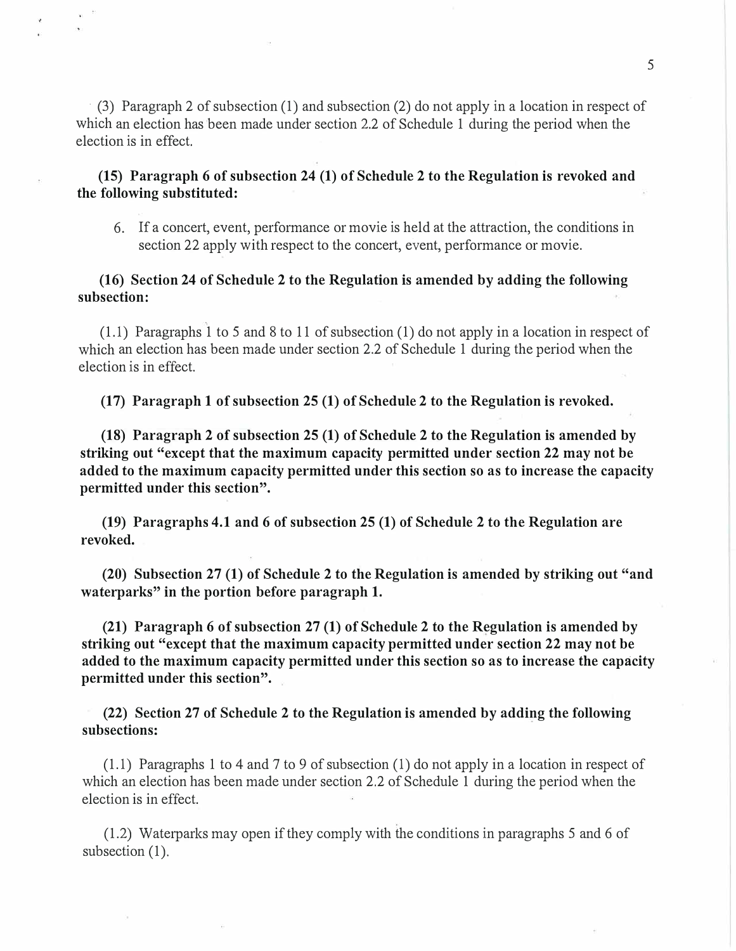· (3) Paragraph 2 of subsection (1) and subsection (2) do not apply in a location in respect of which an election has been made under section 2.2 of Schedule 1 during the period when the election is in effect.

# **(15) Paragraph 6 of subsection 24 (1) of Schedule 2 to the Regulation is revoked and the following substituted:**

6. If a concert, event, performance or movie is held at the attraction, the conditions in section 22 apply with respect to the concert, event, performance or movie.

# **(16) Section 24 of Schedule 2 to the Regulation is amended by adding the following subsection:**

 $(1.1)$  Paragraphs 1 to 5 and 8 to 11 of subsection (1) do not apply in a location in respect of which an election has been made under section 2.2 of Schedule 1 during the period when the election is in effect.

**(17) Paragraph 1 of subsection 25 (1) of Schedule 2 to the Regulation is revoked.**

**(18) Paragraph 2 of subsection 25 (1) of Schedule 2 to the Regulation is amended by striking out "except that the maximum capacity permitted under section 22 may not be added to the maximum capacity permitted under this section so as to increase the capacity permitted under this section".** 

**(19) Paragraphs 4.1 and 6 of subsection 25 (1) of Schedule 2 to the Regulation are revoked.** 

**(20)** Subsection 27 (1) of Schedule 2 to the Regulation is amended by striking out "and **waterparks" in the portion before paragraph 1.** 

**(21) Paragraph 6 of subsection 27 (1) of Schedule 2 to the Regulation is amended by** striking out "except that the maximum capacity permitted under section 22 may not be **added to the maximum capacity permitted under this section so as to increase the capacity permitted under this section".** 

**(22) Section 27 of Schedule 2 to the Regulation is amended by adding the following subsections:** 

(1.1) Paragraphs 1 to 4 and 7 to 9 of subsection (1) do not apply in a location in respect of which an election has been made under section 2.2 of Schedule 1 during the period when the election is in effect.

(1.2) Waterparks may open if they comply with the conditions in paragraphs 5 and 6 of subsection  $(1)$ .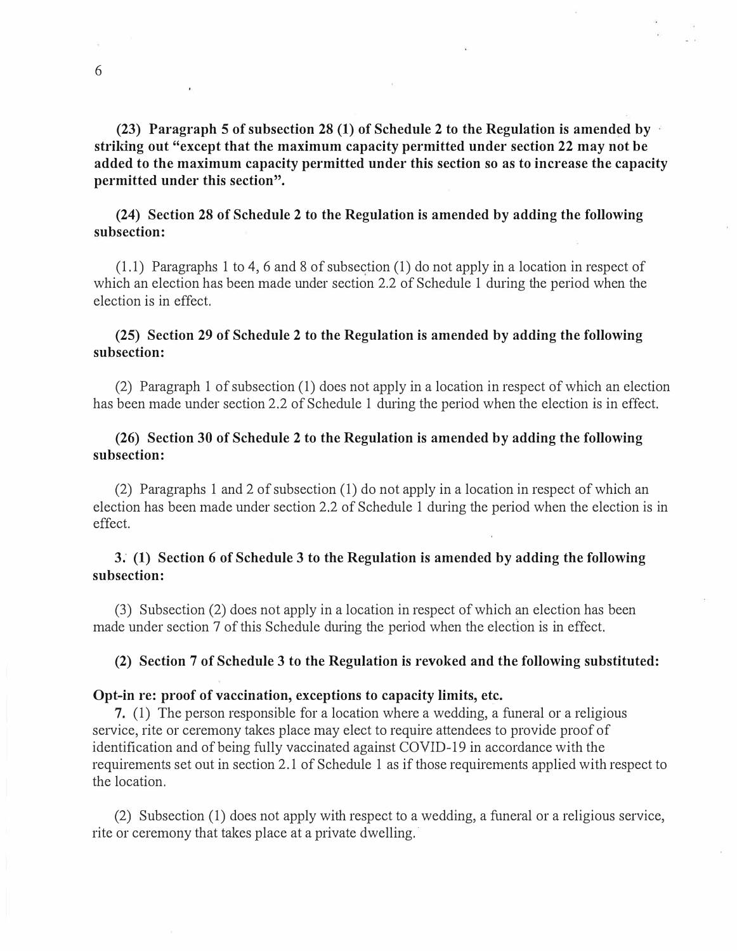**(23) Paragraph 5 of subsection 28 (1) of Schedule 2 to the Regulation is amended by strildng out "except that the maximum capacity permitted under section 22 may not be added to the maximum capacity permitted under this section so as to increase the capacity permitted under this section".** 

# **(24) Section 28 of Schedule 2 to the Regulation is amended by adding the following subsection:**

(1.1) Paragraphs 1 to 4, 6 and 8 of subsection (1) do not apply in a location in respect of which an election has been made under section 2.2 of Schedule 1 during the period when the election is in effect.

# **(25) Section 29 of Schedule 2 to the Regulation is amended by adding the following subsection:**

(2) Paragraph 1 of subsection (1) does not apply in a location in respect of which an election has been made under section 2.2 of Schedule 1 during the period when the election is in effect.

# **(26) Section 30 of Schedule 2 to the Regulation is amended by adding the following subsection:**

(2) Paragraphs 1 and 2 of subsection ( 1) do not apply in a location in respect of which an election has been made under section 2.2 of Schedule 1 during the period when the election is in effect.

# **3; (1) Section 6 of Schedule 3 to the Regulation is amended by adding the following subsection:**

(3) Subsection (2) does not apply in a location in respect of which an election has been made under section 7 of this Schedule during the period when the election is in effect.

## **(2) Section 7 of Schedule 3 to the Regulation is revoked and the following substituted:**

### **Opt-in re: proof of vaccination, exceptions to capacity limits, etc.**

7. (1) The person responsible for a location where a wedding, a funeral or a religious service, rite or ceremony takes place may elect to require attendees to provide proof of identification and of being fully vaccinated against COVID-19 in accordance with the requirements set out in section 2.1 of Schedule 1 as if those requirements applied with respect to the location.

(2) Subsection (1) does not apply with respect to a wedding, a funeral or a religious service, rite or ceremony that takes place at a private dwelling.·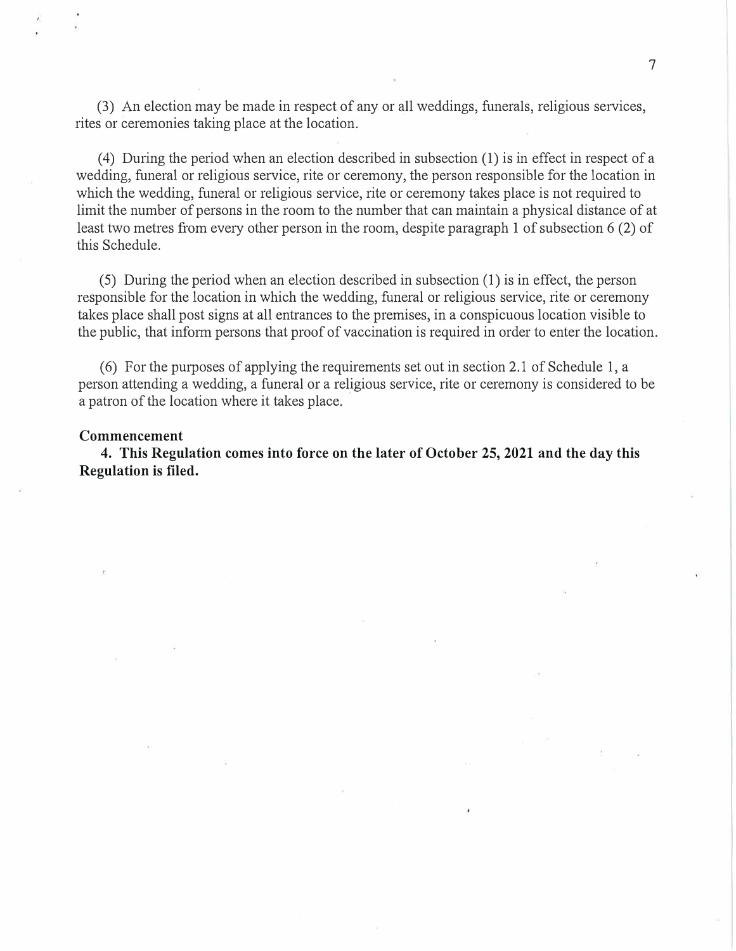(3) An election may be made in respect of any or all weddings, funerals, religious services, rites or ceremonies taking place at the location.

( 4) During the period when an election described in subsection ( 1) is in effect in respect of a wedding, funeral or religious service, rite or ceremony, the person responsible for the location in which the wedding, funeral or religious service, rite or ceremony takes place is not required to limit the number of persons in the room to the number that can maintain a physical distance of at least two metres from every other person in the room, despite paragraph 1 of subsection 6 (2) of this Schedule.

( 5) During the period when an election described in subsection ( 1) is in effect, the person responsible for the location in which the wedding, funeral or religious service, rite or ceremony takes place shall post signs at all entrances to the premises, in a conspicuous location visible to the public, that inform persons that proof of vaccination is required in order to enter the location.

( 6) For the purposes of applying the requirements set out in section 2.1 of Schedule 1, a person attending a wedding, a funeral or a religious service, rite or ceremony is considered to be a patron of the location where it takes place.

#### **Commencement**

**4. This Regulation comes into force on the later of October 25, 2021 and the day this Regulation is filed.**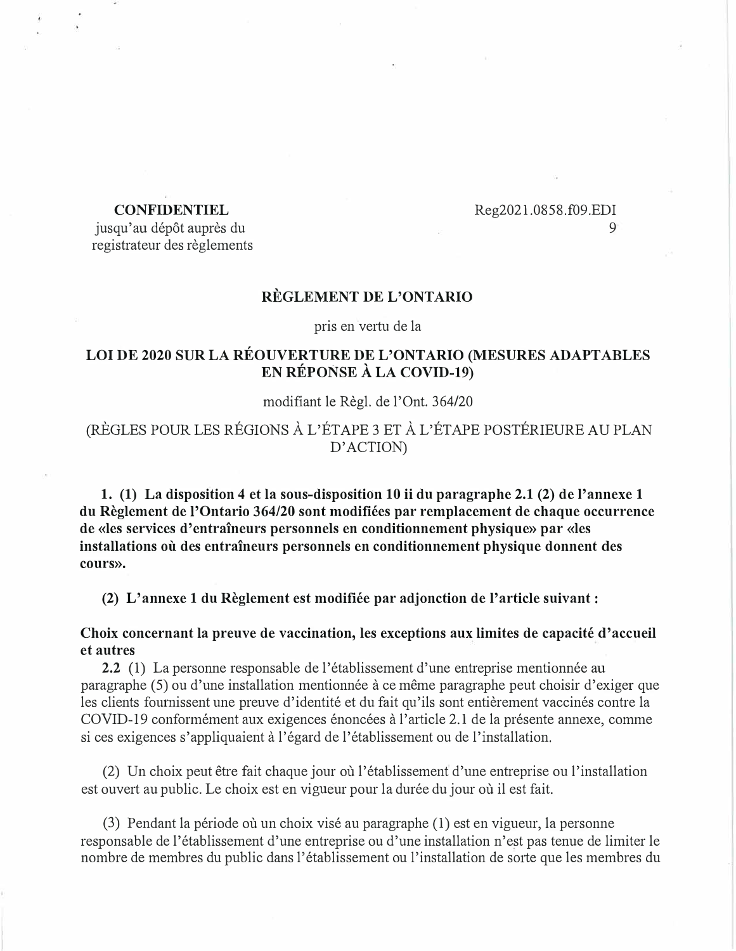## **CONFIDENTIEL**

### Reg2021.0858.f09.EDI 9

jusqu'au dépôt auprès du registrateur des reglements

### **REGLEMENT DE L'ONTARIO**

pris en vertu de la

# **LOI DE 2020 SUR LA REOUVERTURE DE L'ONTARIO (MESURES ADAPTABLES EN REPONSE A LA COVID-19)**

### modifiant le Regl. de l'Ont. 364/20

(REGLES POUR LES REGIONS A L'ETAPE 3 ET A L'ETAPE POSTERIEURE AU PLAN D'ACTION)

**1. (1) La disposition 4 et la sous-disposition 10 ii du paragraphe 2.1 (2) de !'annexe 1 du Reglement de !'Ontario 364/20 sont modifiees par remplacement de chaque occurrence de «les services d'entraineurs personnels en conditionnement physique» par «les installations ou des entraineurs personnels en conditionnement physique donnent des cours».** 

**(2) L'annexe 1 du Reglement est modifiee par adjonction de !'article suivant:**

**Choix concernant la preuve de vaccination, les exceptions aux limites de capacite d'accueil et autres** 

**2.2** (1) La personne responsable de l'établissement d'une entreprise mentionnée au paragraphe (5) ou d'une installation mentionnee ace meme paragraphe peut choisir d'exiger que les clients fournissent une preuve d'identité et du fait qu'ils sont entièrement vaccinés contre la COVID-19 conformément aux exigences énoncées à l'article 2.1 de la présente annexe, comme si ces exigences s'appliquaient à l'égard de l'établissement ou de l'installation.

(2) Un choix peut etre fait chaque jour ou l'etablissement d'une entreprise ou !'installation est ouvert au public. Le choix est en vigueur pour la durée du jour où il est fait.

 $(3)$  Pendant la période où un choix visé au paragraphe  $(1)$  est en vigueur, la personne responsable de l'etablissement d'une entreprise ou d'une installation n'est pas tenue de limiter le nombre de membres du public dans l'établissement ou l'installation de sorte que les membres du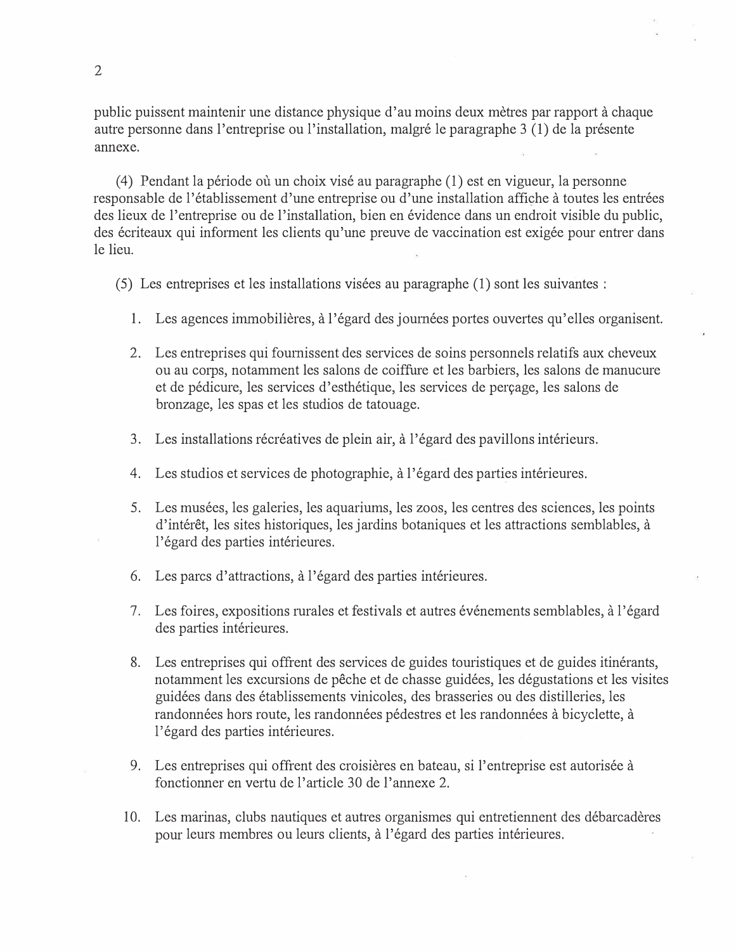public puissent maintenir une distance physique d'au moins deux metres par rapport a chaque autre personne dans l'entreprise ou l'installation, malgre le paragraphe 3 (1) de la presente annexe.

 $(4)$  Pendant la période où un choix visé au paragraphe  $(1)$  est en vigueur, la personne responsable de l'établissement d'une entreprise ou d'une installation affiche à toutes les entrées des lieux de l'entreprise ou de l'installation, bien en evidence dans un endroit visible du public, des écriteaux qui informent les clients qu'une preuve de vaccination est exigée pour entrer dans le lieu.

(5) Les entreprises et les installations visees au paragraphe (1) sont les suivantes :

- 1. Les agences immobilières, à l'égard des journées portes ouvertes qu'elles organisent.
- 2. Les entreprises qui foumissent des services de soins personnels relatifs aux cheveux ou au corps, notamment les salons de coiffure et les barbiers, les salons de manucure et de pedicure, les services d'esthetique, les services de pen;age, les salons de bronzage, les spas et les studios de tatouage.
- 3. Les installations récréatives de plein air, à l'égard des pavillons intérieurs.
- 4. Les studios et services de photographie, à l'égard des parties intérieures.
- 5. Les musées, les galeries, les aquariums, les zoos, les centres des sciences, les points d'intérêt, les sites historiques, les jardins botaniques et les attractions semblables, à l'égard des parties intérieures.
- 6. Les pares d'attractions, a l'egard des parties interieures.
- 7. Les foires, expositions rurales et festivals et autres événements semblables, à l'égard des parties intérieures.
- 8. Les entreprises qui offrent des services de guides touristiques et de guides itinérants, notamment les excursions de pêche et de chasse guidées, les dégustations et les visites guidees dans des etablissements vinicoles, des brasseries ou des distilleries, les randonnées hors route, les randonnées pédestres et les randonnées à bicyclette, à l'égard des parties intérieures.
- 9. Les entreprises qui offrent des croisières en bateau, si l'entreprise est autorisée à fonctionner en vertu de l'article 30 de !'annexe 2.
- 10. Les marinas, clubs nautiques et autres organismes qui entretiennent des débarcadères pour leurs membres ou leurs clients, a l'egard des parties interieures.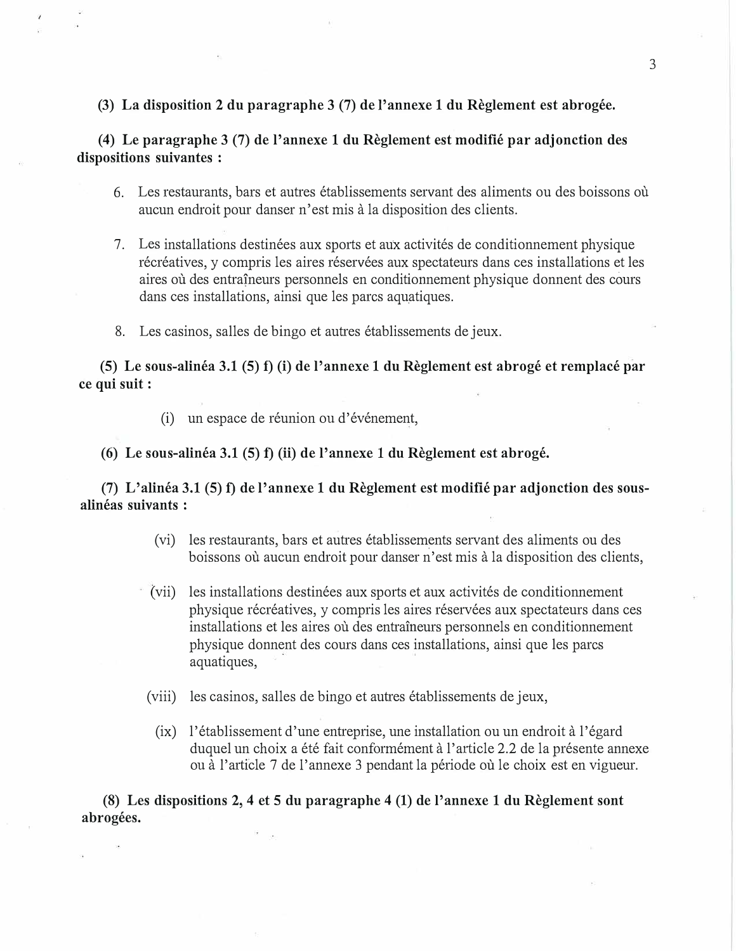### **(3) La disposition 2 du paragraphe 3 (7) de !'annexe 1 du Reglement est abrogee.**

**(4) Le paragraphe 3 (7) de l'annexe 1 du Reglement est modifie par adjonction des dispositions suivantes :** 

- 6. Les restaurants, bars et autres établissements servant des aliments ou des boissons où aucun endroit pour danser n' est mis a la disposition des clients.
- 7. Les installations destinees aux sports et aux activites de conditionnement physique récréatives, y compris les aires réservées aux spectateurs dans ces installations et les aires où des entraîneurs personnels en conditionnement physique donnent des cours dans ces installations, ainsi que les parcs aquatiques.
- 8. Les casinos, salles de bingo et autres établissements de jeux.

**(5) Le sous-alinea 3.1 (5) f) (i) de l'annexe 1 du Reglement est abroge et remplace par ce qui suit:** 

(i) un espace de réunion ou d'événement,

**(6) Le sous-alinea 3.1 (5) f) (ii) de l'annexe 1 du Reglement est abroge.**

**(7) L'alinea 3.1 (5) f) de l'annexe 1 du Reglement est modifie par adjonction des sousalineas suivants :** 

- (vi) les restaurants, bars et autres etablissements servant des aliments ou des boissons où aucun endroit pour danser n'est mis à la disposition des clients,
- (vii) les installations destinees aux sports et aux activites de conditionnement physique récréatives, y compris les aires réservées aux spectateurs dans ces installations et les aires où des entraîneurs personnels en conditionnement physique donnent des cours dans ces installations, ainsi que les pares aquatiques,
- (viii) les casinos, salles de bingo et autres établissements de jeux,
	- (ix) l'établissement d'une entreprise, une installation ou un endroit à l'égard duquel un choix a été fait conformément à l'article 2.2 de la présente annexe ou à l'article 7 de l'annexe 3 pendant la période où le choix est en vigueur.

**(8) Les dispositions 2, 4 et 5 du paragraphe 4 (1) de l'annexe 1 du Reglement sont abrogees.**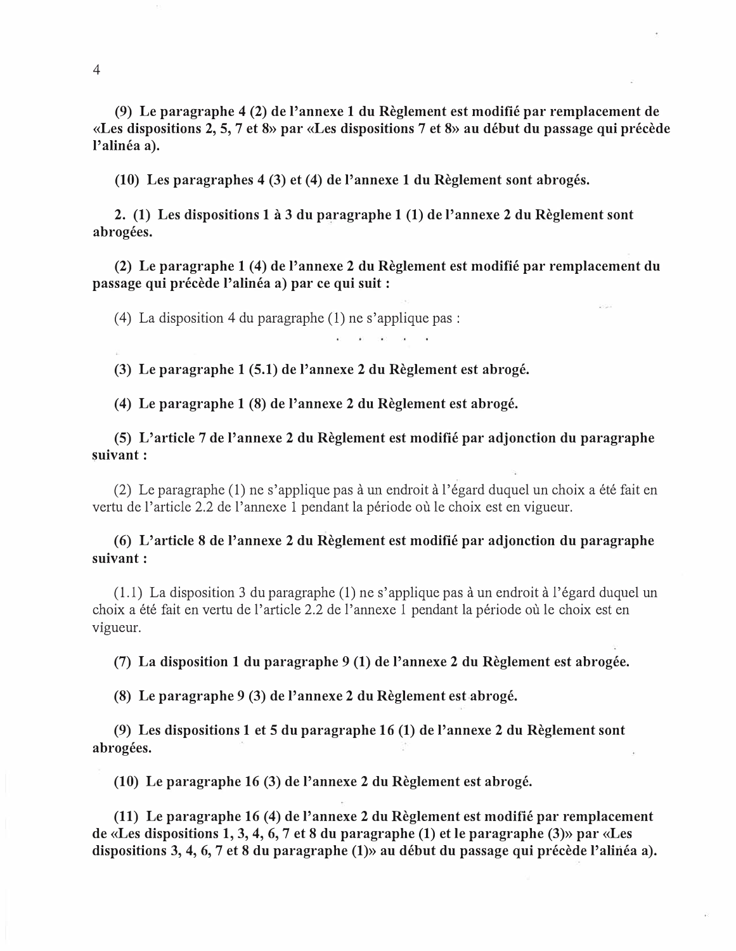**(9) Le paragraphe 4 (2) de l'annexe 1 du Reglement est modifie par remplacement de «Les dispositions 2, 5, 7 et 8» par «Les dispositions 7 et 8» au debut du passage qui precede**  l'alinéa a).

**(10) Les paragraphes 4 (3) et (4) de l'annexe 1 du Reglement sont abroges.**

**2. (1) Les dispositions 1** a **3 du paragraphe 1 (1) de l'annexe 2 du Reglement sont abrogees.** 

**(2) Le paragraphe 1 (4) de l'annexe 2 du Reglement est modifie par remplacement du** passage qui précède l'alinéa a) par ce qui suit :

(4) La disposition 4 du paragraphe (1) ne s'applique pas:

**(3) Le paragraphe 1 (5.1) de l'annexe 2 du Reglement est abroge.**

**(4) Le paragraphe 1 (8) de l'annexe 2 du Reglement est abroge.**

**(5) L'article 7 de l'annexe 2 du Reglement est modifie par adjonction du paragraphe �uivant:** 

(2) Le paragraphe (1) ne s'applique pas a un endroit a l'egard duquel un choix a ete fait en vertu de l'article 2.2 de l'annexe 1 pendant la période où le choix est en vigueur.

**(6) L'article 8 de l'annexe 2 du Reglement est modifie par adjonction du paragraphe suivant:** 

 $(1.1)$  La disposition 3 du paragraphe  $(1)$  ne s'applique pas à un endroit à l'égard duquel un choix a été fait en vertu de l'article 2.2 de l'annexe 1 pendant la période où le choix est en vigueur.

**(7) La disposition 1 du paragraphe 9 (1) de l'annexe 2 du Reglement est abrogee.**

**(8) Le paragraphe 9 (3) de l'annexe 2 du Reglement est abroge.**

**(9) Les dispositions 1 et 5 du paragraphe 16 (1) de l'annexe 2 du Reglement sont abrogees.** 

**(10) Le paragraphe 16 (3) de l'annexe 2 du Reglement est abroge.**

**(11) Le paragraphe 16 (4) de l'annexe 2 du Reglement est modifie par remplacement de «Les dispositions 1, 3, 4, 6, 7 et 8 du paragraphe (1) et le paragraphe (3)» par «Les**  dispositions 3, 4, 6, 7 et 8 du paragraphe (1)» au début du passage qui précède l'alinéa a).

4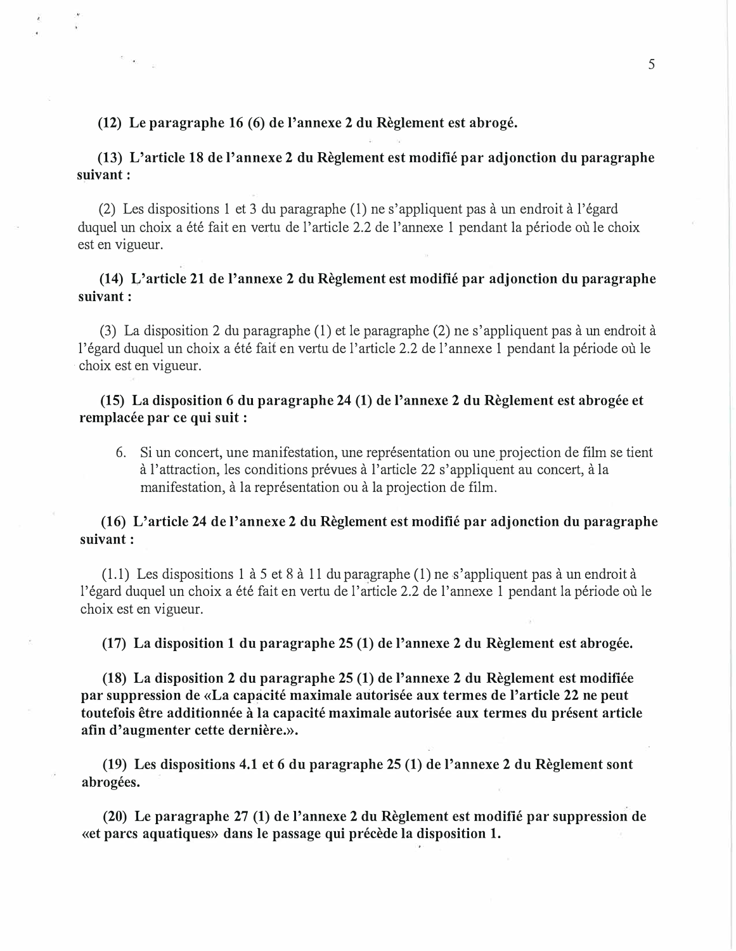### **(12) Le paragraphe 16 (6) de !'annexe 2 du Reglement est abroge.**

# **(13) L'article 18 de !'annexe 2 du Reglement est modifie par adjonction du paragraphe suivant:**

(2) Les dispositions 1 et 3 du paragraphe (1) ne s'appliquent pas a un endroit a l'egard duquel un choix a été fait en vertu de l'article 2.2 de l'annexe 1 pendant la période où le choix est en vigueur.

# **(14) L'article 21 de l'annexe 2 du Reglement est modifie par adjonction du paragraphe suivant:**

(3) La disposition 2 du paragraphe (1) et le paragraphe (2) ne s'appliquent pas a un endroit a l'égard duquel un choix a été fait en vertu de l'article 2.2 de l'annexe 1 pendant la période où le · choix est en vigueur.

# **(15) La disposition 6 du paragraphe 24 (1) de !'annexe 2 du Reglement est abrogee et** remplacée par ce qui suit :

6. Si un concert, une manifestation, une représentation ou une projection de film se tient à l'attraction, les conditions prévues à l'article 22 s'appliquent au concert, à la manifestation, à la représentation ou à la projection de film.

## **(16) L'article 24 de l'annexe 2 du Reglement est modifie par adjonction du paragraphe suivant:**

(1.1) Les dispositions 1 à 5 et 8 à 11 du paragraphe (1) ne s'appliquent pas à un endroit à l'égard duquel un choix a été fait en vertu de l'article 2.2 de l'annexe 1 pendant la période où le choix est en vigueur.

**(17) La disposition 1 du paragraphe 25 (1) de l'annexe 2 du Reglement est abrogee.**

**(18) La disposition 2 du paragraphe 25 (1) de !'annexe 2 du Reglement est modifiee** par suppression de «La capacité maximale autorisée aux termes de l'article 22 ne peut toutefois être additionnée à la capacité maximale autorisée aux termes du présent article afin d'augmenter cette dernière.».

**(19) Les dispositions 4.1 et 6 du paragraphe 25 (1) de l'annexe 2 du Reglement sont abrogees.** 

**(20) Le paragraphe 27 (1) de l'annexe 2 du Reglement est modifie par suppression de «et pares aquatiques» dans le passage qui precede la disposition 1.**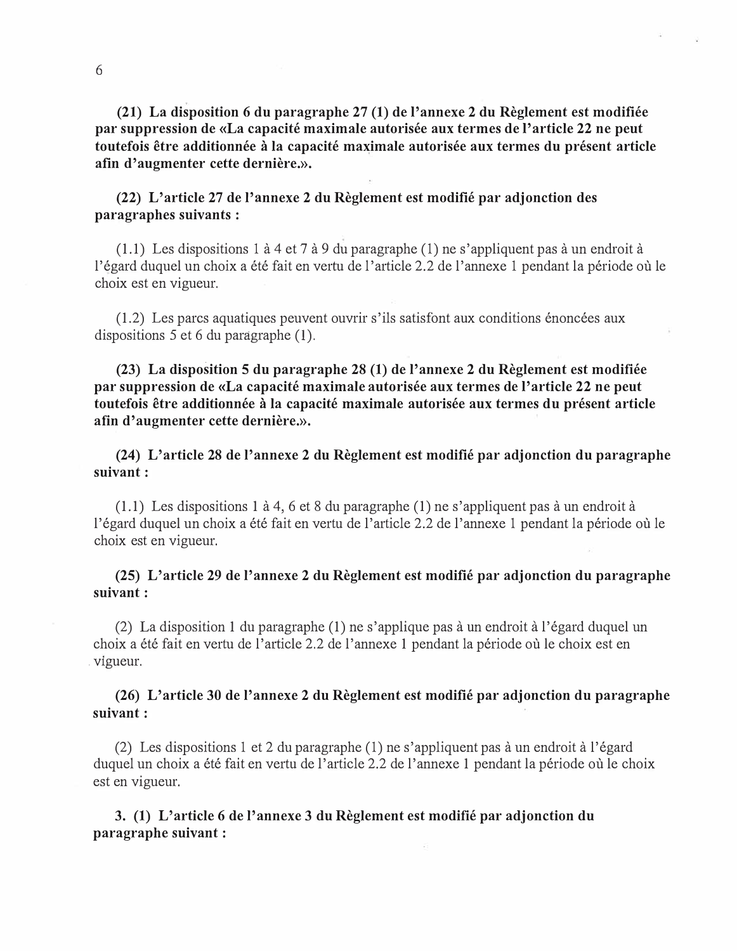**(21) La disposition 6 du paragraphe 27 (1) de !'annexe 2 du Reglement est modifiee** par suppression de «La capacité maximale autorisée aux termes de l'article 22 ne peut **toutefois etre additionnee a la capacite maximale autorisee aux termes du present article afin d'augmenter cette derniere.».** 

# **(22) L'article 27 de l'annexe 2 du Reglement est modifie par adjonction des paragraphes suivants :**

(1.1) Les dispositions 1 à 4 et 7 à 9 du paragraphe (1) ne s'appliquent pas à un endroit à l'égard duquel un choix a été fait en vertu de l'article 2.2 de l'annexe 1 pendant la période où le choix est en vigueur.

 $(1.2)$  Les parcs aquatiques peuvent ouvrir s'ils satisfont aux conditions énoncées aux dispositions 5 et 6 du paragraphe (I).

**(23) La disposition 5 du paragraphe 28 (1) de l'annexe 2 du Reglement est modifiee par suppression de «La capacite maximale autorisee aux termes de !'article 22 ne peut toutefois etre additionnee a la capacite maximale autorisee aux termes du present article afin d'augmenter cette derniere.».** 

**(24) L'article 28 de l'annexe 2 du Reglement est modifie par adjonction du paragraphe suivant:** 

 $(1.1)$  Les dispositions 1 à 4, 6 et 8 du paragraphe  $(1)$  ne s'appliquent pas à un endroit à l'égard duquel un choix a été fait en vertu de l'article 2.2 de l'annexe 1 pendant la période où le choix est en vigueur.

**(25) L'article 29 de l'annexe 2 du Reglement est modifie par adjonction du paragraphe suivant:** 

(2) La disposition 1 du paragraphe (1) ne s'applique pas a un endroit a l'egard duquel un choix a été fait en vertu de l'article 2.2 de l'annexe 1 pendant la période où le choix est en . v1gueur.

**(26) L'article 30 de l'annexe 2 du Reglement est modifie par adjonction du paragraphe suivant:** 

(2) Les dispositions 1 et 2 du paragraphe (1) ne s'appliquent pas a un endroit a l'egard duquel un choix a été fait en vertu de l'article 2.2 de l'annexe 1 pendant la période où le choix est en vigueur.

**3. (1) L'article 6 de l'annexe 3 du Reglement est modifie par adjonction du paragraphe suivant :**